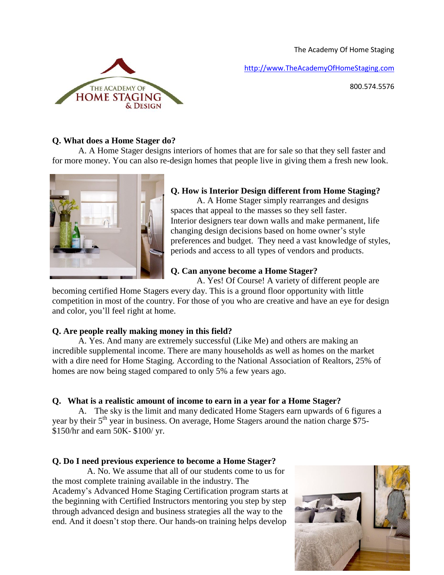The Academy Of Home Staging

[http://www.TheAcademyOfHomeStaging.com](http://www.theacademyofhomestaging.com/)

800.574.5576



## **Q. What does a Home Stager do?**

 A. A Home Stager designs interiors of homes that are for sale so that they sell faster and for more money. You can also re-design homes that people live in giving them a fresh new look.



# **Q. How is Interior Design different from Home Staging?**

 A. A Home Stager simply rearranges and designs spaces that appeal to the masses so they sell faster. Interior designers tear down walls and make permanent, life changing design decisions based on home owner's style preferences and budget. They need a vast knowledge of styles, periods and access to all types of vendors and products.

# **Q. Can anyone become a Home Stager?**

A. Yes! Of Course! A variety of different people are

becoming certified Home Stagers every day. This is a ground floor opportunity with little competition in most of the country. For those of you who are creative and have an eye for design and color, you'll feel right at home.

## **Q. Are people really making money in this field?**

A. Yes. And many are extremely successful (Like Me) and others are making an incredible supplemental income. There are many households as well as homes on the market with a dire need for Home Staging. According to the National Association of Realtors, 25% of homes are now being staged compared to only 5% a few years ago.

# **Q. What is a realistic amount of income to earn in a year for a Home Stager?**

A. The sky is the limit and many dedicated Home Stagers earn upwards of 6 figures a year by their  $5<sup>th</sup>$  year in business. On average, Home Stagers around the nation charge \$75-\$150/hr and earn 50K- \$100/ yr.

## **Q. Do I need previous experience to become a Home Stager?**

 A. No. We assume that all of our students come to us for the most complete training available in the industry. The Academy's Advanced Home Staging Certification program starts at the beginning with Certified Instructors mentoring you step by step through advanced design and business strategies all the way to the end. And it doesn't stop there. Our hands-on training helps develop

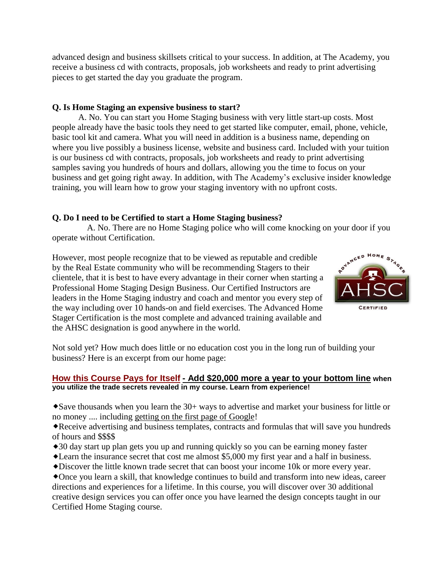advanced design and business skillsets critical to your success. In addition, at The Academy, you receive a business cd with contracts, proposals, job worksheets and ready to print advertising pieces to get started the day you graduate the program.

## **Q. Is Home Staging an expensive business to start?**

 A. No. You can start you Home Staging business with very little start-up costs. Most people already have the basic tools they need to get started like computer, email, phone, vehicle, basic tool kit and camera. What you will need in addition is a business name, depending on where you live possibly a business license, website and business card. Included with your tuition is our business cd with contracts, proposals, job worksheets and ready to print advertising samples saving you hundreds of hours and dollars, allowing you the time to focus on your business and get going right away. In addition, with The Academy's exclusive insider knowledge training, you will learn how to grow your staging inventory with no upfront costs.

## **Q. Do I need to be Certified to start a Home Staging business?**

 A. No. There are no Home Staging police who will come knocking on your door if you operate without Certification.

However, most people recognize that to be viewed as reputable and credible by the Real Estate community who will be recommending Stagers to their clientele, that it is best to have every advantage in their corner when starting a Professional Home Staging Design Business. Our Certified Instructors are leaders in the Home Staging industry and coach and mentor you every step of the way including over 10 hands-on and field exercises. The Advanced Home Stager Certification is the most complete and advanced training available and the AHSC designation is good anywhere in the world.



Not sold yet? How much does little or no education cost you in the long run of building your business? Here is an excerpt from our home page:

### **How this Course Pays for Itself - Add \$20,000 more a year to your bottom line when you utilize the trade secrets revealed in my course. Learn from experience!**

Save thousands when you learn the 30+ ways to advertise and market your business for little or no money .... including getting on the first page of Google!

Receive advertising and business templates, contracts and formulas that will save you hundreds of hours and \$\$\$\$

- 30 day start up plan gets you up and running quickly so you can be earning money faster
- Learn the insurance secret that cost me almost \$5,000 my first year and a half in business.
- Discover the little known trade secret that can boost your income 10k or more every year.

Once you learn a skill, that knowledge continues to build and transform into new ideas, career directions and experiences for a lifetime. In this course, you will discover over 30 additional creative design services you can offer once you have learned the design concepts taught in our Certified Home Staging course.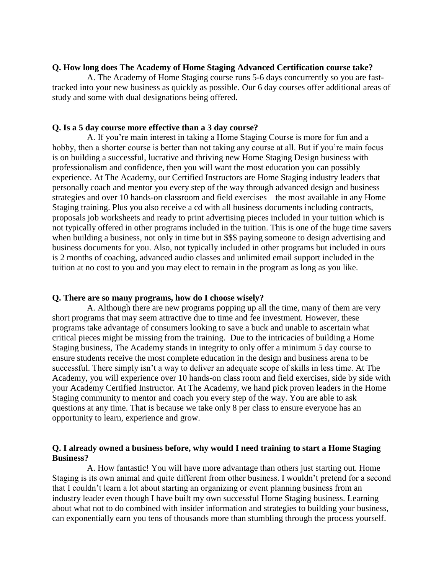#### **Q. How long does The Academy of Home Staging Advanced Certification course take?**

 A. The Academy of Home Staging course runs 5-6 days concurrently so you are fasttracked into your new business as quickly as possible. Our 6 day courses offer additional areas of study and some with dual designations being offered.

### **Q. Is a 5 day course more effective than a 3 day course?**

 A. If you're main interest in taking a Home Staging Course is more for fun and a hobby, then a shorter course is better than not taking any course at all. But if you're main focus is on building a successful, lucrative and thriving new Home Staging Design business with professionalism and confidence, then you will want the most education you can possibly experience. At The Academy, our Certified Instructors are Home Staging industry leaders that personally coach and mentor you every step of the way through advanced design and business strategies and over 10 hands-on classroom and field exercises – the most available in any Home Staging training. Plus you also receive a cd with all business documents including contracts, proposals job worksheets and ready to print advertising pieces included in your tuition which is not typically offered in other programs included in the tuition. This is one of the huge time savers when building a business, not only in time but in \$\$\$ paying someone to design advertising and business documents for you. Also, not typically included in other programs but included in ours is 2 months of coaching, advanced audio classes and unlimited email support included in the tuition at no cost to you and you may elect to remain in the program as long as you like.

### **Q. There are so many programs, how do I choose wisely?**

 A. Although there are new programs popping up all the time, many of them are very short programs that may seem attractive due to time and fee investment. However, these programs take advantage of consumers looking to save a buck and unable to ascertain what critical pieces might be missing from the training. Due to the intricacies of building a Home Staging business, The Academy stands in integrity to only offer a minimum 5 day course to ensure students receive the most complete education in the design and business arena to be successful. There simply isn't a way to deliver an adequate scope of skills in less time. At The Academy, you will experience over 10 hands-on class room and field exercises, side by side with your Academy Certified Instructor. At The Academy, we hand pick proven leaders in the Home Staging community to mentor and coach you every step of the way. You are able to ask questions at any time. That is because we take only 8 per class to ensure everyone has an opportunity to learn, experience and grow.

### **Q. I already owned a business before, why would I need training to start a Home Staging Business?**

 A. How fantastic! You will have more advantage than others just starting out. Home Staging is its own animal and quite different from other business. I wouldn't pretend for a second that I couldn't learn a lot about starting an organizing or event planning business from an industry leader even though I have built my own successful Home Staging business. Learning about what not to do combined with insider information and strategies to building your business, can exponentially earn you tens of thousands more than stumbling through the process yourself.